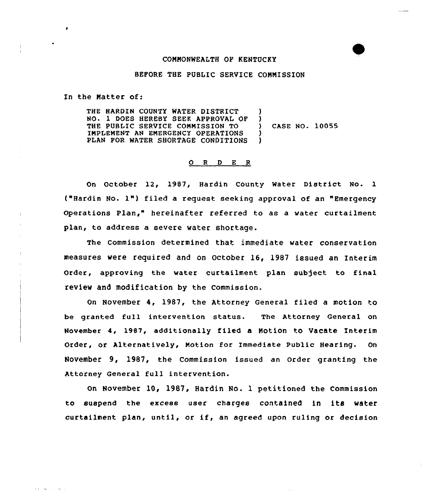## COMMONWEALTH OF KENTUCKY

## BEFORE THE PUBLIC SERVICE COMMISSION

In the Matter of:

and the contract of

THE HARDIN COUNTY MATER DISTRICT NO. 1 DOES HEREBY SEEK APPROVAL OF THE PUBLIC SERVICE COMMISSION TO IMPLEMENT AN EMERGENCY OPERATIONS PLAN FOR WATER SHORTAGE CONDITIONS )  $\lambda$ ) CASE NO. 10055 ) )

## O R D E R

On October 12, 1987, Hardin County Water District No. 1 ("Hardin No. l") filed <sup>a</sup> request seeking approval of an "Emergency Operations Plan," hereinafter referred to as a water curtailment plan, to address a severe water shortage.

The Commission determined that immediate water conservation measures were required and on October 16, 1987 issued an Interim Order, approving the water curtailment plan subject to final review and modification by the Commission.

On November 4, 1987, the Attorney General filed a motion to be granted full intervention status. The Attorney General on November 4, 1987, additionally filed a Motion to Vacate Interim Order, or Alternatively, Motion for Immediate Public Hearing. On November 9, 1987, the commission issued an order granting the Attorney General full intervention.

On November 10, 1987, Hardin No. 1 petitioned the Commission to suspend the excess user charges contained in its water curtailment plan, until, or if, an agreed upon ruling or decision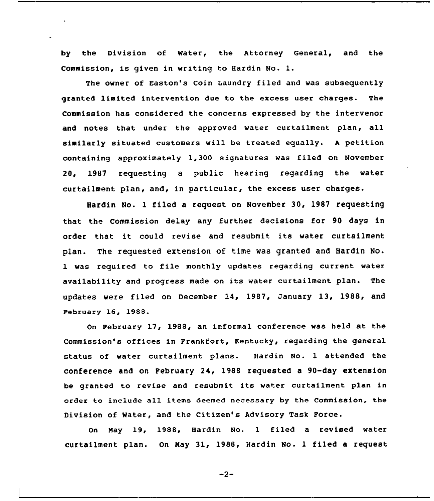by the Division of Water, the Attorney General, and the Commission, is given in writing to Hardin No. 1.

The owner of Easton's Coin Laundry filed and was subsequently granted limited intervention due to the excess user charges. The Commission has considered the concerns expressed by the intervenor and notes that under the approved water curtailment plan, all similarly situated customers will be treated equally. <sup>A</sup> petition containing approximately 1,300 signatures was filed on November 20, 1987 requesting a public hearing regarding the water curtailment plan, and, in particular, the excess user charges.

Hardin No. 1 filed a request on November 30, 1987 requesting that the Commission delay any further decisions for 90 days in order that it could revise and resubmit its water curtailment plan. The requested extension of time was granted and Hardin No. <sup>1</sup> was required to file monthly updates regarding current water availability and progress made on its water curtailment plan. The updates were filed on December 14, 1987, January 13, 1988, and February 16, 1988.

On February 17, 1988, an informal conference was held at the Commission's offices in Frankfort, Kentucky, regarding the general status of water curtailment plans. Hardin No. 1 attended the conference and on February 24, 1988 requested a 90-day extension be granted to revise and resubmit its water curtailment plan in order to include all items deemed necessary by the Commission, the Division of Water, and the Citizen's Advisory Task Force.

On Nay 19, 1988, Hardin No. <sup>1</sup> filed a revised water curtailment plan. On May 31, 1988, Hardin No. 1 filed a request

 $-2-$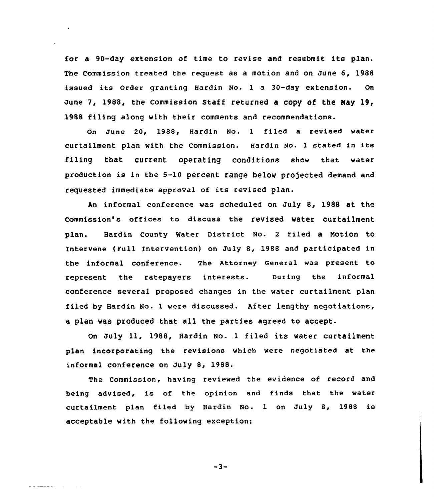for a 90-day extension of time to revise and resubmit its plan. The Commission treated the request as a motion and on June 6, 1988 issued its Order granting Hardin No. <sup>1</sup> <sup>a</sup> 30-day extension. On June 7, 1988, the Commission Staff returned a copy of the May 19, 1988 filing along with their comments and recommendations.

On June 20, 1988, Hardin No. 1 filed a revised water curtailment plan with the Commission. Hardin No. <sup>1</sup> stated in its filing that current operating conditions show that water production is in the 5-10 percent range below projected demand and requested immediate approval of its revised plan.

An informal conference was scheduled on July 8, 198B at the commission's offices to discuss the revised water curtailment plan. Hardin County Water District No. <sup>2</sup> filed a Notion to Intervene (Full Intervention) on July 8, 1988 and participated in the informal conference. The Attorney General was present to represent the ratepayers interests. During the informal conference several proposed changes in the water curtailment plan filed by Hardin No. 1 were discussed. After lengthy negotiations, a plan was produced that all the parties agreed to accept.

On July ll, 1988, Hardin No. <sup>1</sup> filed its water curtailment plan incorporating the revisions which were negotiated at the informal conference on July 8, 198S.

The Commission, having reviewed the evidence of record and being advised, is of the opinion and finds that the water curtailment plan filed by Hardin No. <sup>1</sup> on July 8, 1988 is acceptable with the following exception:

 $-3-$